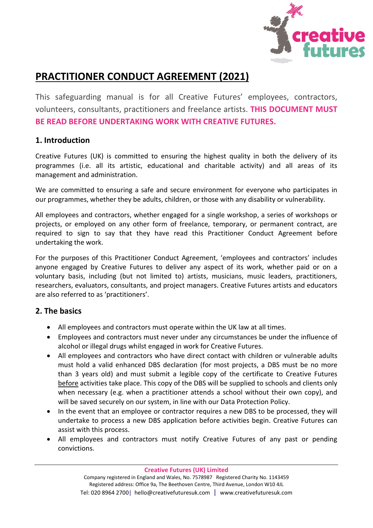

# **PRACTITIONER CONDUCT AGREEMENT (2021)**

This safeguarding manual is for all Creative Futures' employees, contractors, volunteers, consultants, practitioners and freelance artists. **THIS DOCUMENT MUST BE READ BEFORE UNDERTAKING WORK WITH CREATIVE FUTURES.**

# **1. Introduction**

Creative Futures (UK) is committed to ensuring the highest quality in both the delivery of its programmes (i.e. all its artistic, educational and charitable activity) and all areas of its management and administration.

We are committed to ensuring a safe and secure environment for everyone who participates in our programmes, whether they be adults, children, or those with any disability or vulnerability.

All employees and contractors, whether engaged for a single workshop, a series of workshops or projects, or employed on any other form of freelance, temporary, or permanent contract, are required to sign to say that they have read this Practitioner Conduct Agreement before undertaking the work.

For the purposes of this Practitioner Conduct Agreement, 'employees and contractors' includes anyone engaged by Creative Futures to deliver any aspect of its work, whether paid or on a voluntary basis, including (but not limited to) artists, musicians, music leaders, practitioners, researchers, evaluators, consultants, and project managers. Creative Futures artists and educators are also referred to as 'practitioners'.

# **2. The basics**

- All employees and contractors must operate within the UK law at all times.
- Employees and contractors must never under any circumstances be under the influence of alcohol or illegal drugs whilst engaged in work for Creative Futures.
- All employees and contractors who have direct contact with children or vulnerable adults must hold a valid enhanced DBS declaration (for most projects, a DBS must be no more than 3 years old) and must submit a legible copy of the certificate to Creative Futures before activities take place. This copy of the DBS will be supplied to schools and clients only when necessary (e.g. when a practitioner attends a school without their own copy), and will be saved securely on our system, in line with our Data Protection Policy.
- In the event that an employee or contractor requires a new DBS to be processed, they will undertake to process a new DBS application before activities begin. Creative Futures can assist with this process.
- All employees and contractors must notify Creative Futures of any past or pending convictions.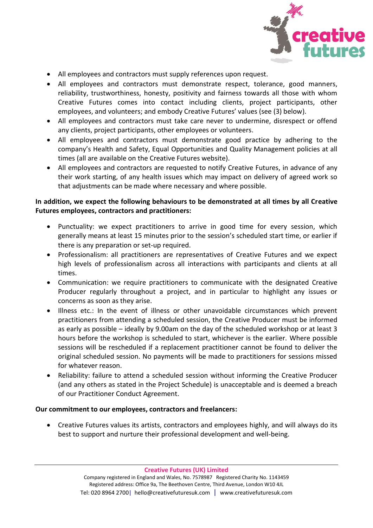

- All employees and contractors must supply references upon request.
- All employees and contractors must demonstrate respect, tolerance, good manners, reliability, trustworthiness, honesty, positivity and fairness towards all those with whom Creative Futures comes into contact including clients, project participants, other employees, and volunteers; and embody Creative Futures' values (see (3) below).
- All employees and contractors must take care never to undermine, disrespect or offend any clients, project participants, other employees or volunteers.
- All employees and contractors must demonstrate good practice by adhering to the company's Health and Safety, Equal Opportunities and Quality Management policies at all times (all are available on the Creative Futures website).
- All employees and contractors are requested to notify Creative Futures, in advance of any their work starting, of any health issues which may impact on delivery of agreed work so that adjustments can be made where necessary and where possible.

#### **In addition, we expect the following behaviours to be demonstrated at all times by all Creative Futures employees, contractors and practitioners:**

- Punctuality: we expect practitioners to arrive in good time for every session, which generally means at least 15 minutes prior to the session's scheduled start time, or earlier if there is any preparation or set-up required.
- Professionalism: all practitioners are representatives of Creative Futures and we expect high levels of professionalism across all interactions with participants and clients at all times.
- Communication: we require practitioners to communicate with the designated Creative Producer regularly throughout a project, and in particular to highlight any issues or concerns as soon as they arise.
- Illness etc.: In the event of illness or other unavoidable circumstances which prevent practitioners from attending a scheduled session, the Creative Producer must be informed as early as possible – ideally by 9.00am on the day of the scheduled workshop or at least 3 hours before the workshop is scheduled to start, whichever is the earlier. Where possible sessions will be rescheduled if a replacement practitioner cannot be found to deliver the original scheduled session. No payments will be made to practitioners for sessions missed for whatever reason.
- Reliability: failure to attend a scheduled session without informing the Creative Producer (and any others as stated in the Project Schedule) is unacceptable and is deemed a breach of our Practitioner Conduct Agreement.

#### **Our commitment to our employees, contractors and freelancers:**

• Creative Futures values its artists, contractors and employees highly, and will always do its best to support and nurture their professional development and well-being.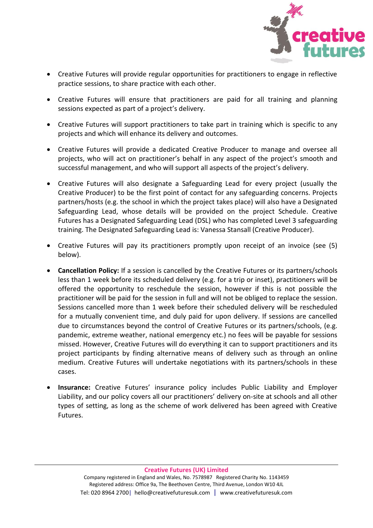

- Creative Futures will provide regular opportunities for practitioners to engage in reflective practice sessions, to share practice with each other.
- Creative Futures will ensure that practitioners are paid for all training and planning sessions expected as part of a project's delivery.
- Creative Futures will support practitioners to take part in training which is specific to any projects and which will enhance its delivery and outcomes.
- Creative Futures will provide a dedicated Creative Producer to manage and oversee all projects, who will act on practitioner's behalf in any aspect of the project's smooth and successful management, and who will support all aspects of the project's delivery.
- Creative Futures will also designate a Safeguarding Lead for every project (usually the Creative Producer) to be the first point of contact for any safeguarding concerns. Projects partners/hosts (e.g. the school in which the project takes place) will also have a Designated Safeguarding Lead, whose details will be provided on the project Schedule. Creative Futures has a Designated Safeguarding Lead (DSL) who has completed Level 3 safeguarding training. The Designated Safeguarding Lead is: Vanessa Stansall (Creative Producer).
- Creative Futures will pay its practitioners promptly upon receipt of an invoice (see (5) below).
- **Cancellation Policy:** If a session is cancelled by the Creative Futures or its partners/schools less than 1 week before its scheduled delivery (e.g. for a trip or inset), practitioners will be offered the opportunity to reschedule the session, however if this is not possible the practitioner will be paid for the session in full and will not be obliged to replace the session. Sessions cancelled more than 1 week before their scheduled delivery will be rescheduled for a mutually convenient time, and duly paid for upon delivery. If sessions are cancelled due to circumstances beyond the control of Creative Futures or its partners/schools, (e.g. pandemic, extreme weather, national emergency etc.) no fees will be payable for sessions missed. However, Creative Futures will do everything it can to support practitioners and its project participants by finding alternative means of delivery such as through an online medium. Creative Futures will undertake negotiations with its partners/schools in these cases.
- **Insurance:** Creative Futures' insurance policy includes Public Liability and Employer Liability, and our policy covers all our practitioners' delivery on-site at schools and all other types of setting, as long as the scheme of work delivered has been agreed with Creative Futures.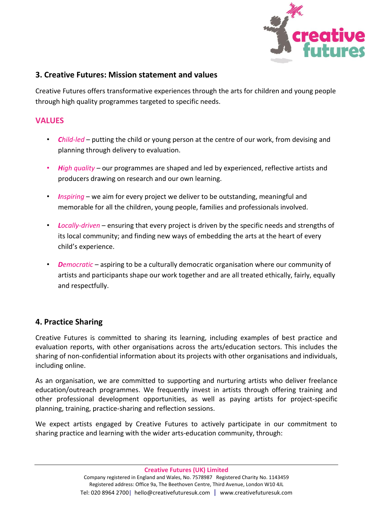

## **3. Creative Futures: Mission statement and values**

Creative Futures offers transformative experiences through the arts for children and young people through high quality programmes targeted to specific needs.

## **VALUES**

- *Child-led* putting the child or young person at the centre of our work, from devising and planning through delivery to evaluation.
- *High quality* our programmes are shaped and led by experienced, reflective artists and producers drawing on research and our own learning.
- *Inspiring* we aim for every project we deliver to be outstanding, meaningful and memorable for all the children, young people, families and professionals involved.
- *Locally-driven* ensuring that every project is driven by the specific needs and strengths of its local community; and finding new ways of embedding the arts at the heart of every child's experience.
- *Democratic* aspiring to be a culturally democratic organisation where our community of artists and participants shape our work together and are all treated ethically, fairly, equally and respectfully.

# **4. Practice Sharing**

Creative Futures is committed to sharing its learning, including examples of best practice and evaluation reports, with other organisations across the arts/education sectors. This includes the sharing of non-confidential information about its projects with other organisations and individuals, including online.

As an organisation, we are committed to supporting and nurturing artists who deliver freelance education/outreach programmes. We frequently invest in artists through offering training and other professional development opportunities, as well as paying artists for project-specific planning, training, practice-sharing and reflection sessions.

We expect artists engaged by Creative Futures to actively participate in our commitment to sharing practice and learning with the wider arts-education community, through: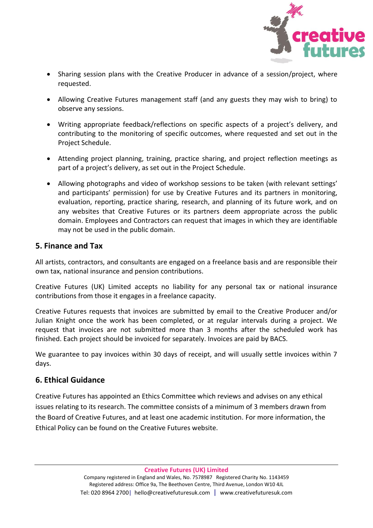

- Sharing session plans with the Creative Producer in advance of a session/project, where requested.
- Allowing Creative Futures management staff (and any guests they may wish to bring) to observe any sessions.
- Writing appropriate feedback/reflections on specific aspects of a project's delivery, and contributing to the monitoring of specific outcomes, where requested and set out in the Project Schedule.
- Attending project planning, training, practice sharing, and project reflection meetings as part of a project's delivery, as set out in the Project Schedule.
- Allowing photographs and video of workshop sessions to be taken (with relevant settings' and participants' permission) for use by Creative Futures and its partners in monitoring, evaluation, reporting, practice sharing, research, and planning of its future work, and on any websites that Creative Futures or its partners deem appropriate across the public domain. Employees and Contractors can request that images in which they are identifiable may not be used in the public domain.

# **5. Finance and Tax**

All artists, contractors, and consultants are engaged on a freelance basis and are responsible their own tax, national insurance and pension contributions.

Creative Futures (UK) Limited accepts no liability for any personal tax or national insurance contributions from those it engages in a freelance capacity.

Creative Futures requests that invoices are submitted by email to the Creative Producer and/or Julian Knight once the work has been completed, or at regular intervals during a project. We request that invoices are not submitted more than 3 months after the scheduled work has finished. Each project should be invoiced for separately. Invoices are paid by BACS.

We guarantee to pay invoices within 30 days of receipt, and will usually settle invoices within 7 days.

## **6. Ethical Guidance**

Creative Futures has appointed an Ethics Committee which reviews and advises on any ethical issues relating to its research. The committee consists of a minimum of 3 members drawn from the Board of Creative Futures, and at least one academic institution. For more information, the Ethical Policy can be found on the Creative Futures website.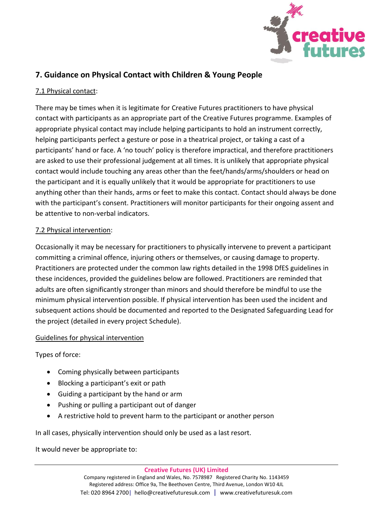

# **7. Guidance on Physical Contact with Children & Young People**

#### 7.1 Physical contact:

There may be times when it is legitimate for Creative Futures practitioners to have physical contact with participants as an appropriate part of the Creative Futures programme. Examples of appropriate physical contact may include helping participants to hold an instrument correctly, helping participants perfect a gesture or pose in a theatrical project, or taking a cast of a participants' hand or face. A 'no touch' policy is therefore impractical, and therefore practitioners are asked to use their professional judgement at all times. It is unlikely that appropriate physical contact would include touching any areas other than the feet/hands/arms/shoulders or head on the participant and it is equally unlikely that it would be appropriate for practitioners to use anything other than their hands, arms or feet to make this contact. Contact should always be done with the participant's consent. Practitioners will monitor participants for their ongoing assent and be attentive to non-verbal indicators.

#### 7.2 Physical intervention:

Occasionally it may be necessary for practitioners to physically intervene to prevent a participant committing a criminal offence, injuring others or themselves, or causing damage to property. Practitioners are protected under the common law rights detailed in the 1998 DfES guidelines in these incidences, provided the guidelines below are followed. Practitioners are reminded that adults are often significantly stronger than minors and should therefore be mindful to use the minimum physical intervention possible. If physical intervention has been used the incident and subsequent actions should be documented and reported to the Designated Safeguarding Lead for the project (detailed in every project Schedule).

#### Guidelines for physical intervention

Types of force:

- Coming physically between participants
- Blocking a participant's exit or path
- Guiding a participant by the hand or arm
- Pushing or pulling a participant out of danger
- A restrictive hold to prevent harm to the participant or another person

In all cases, physically intervention should only be used as a last resort.

It would never be appropriate to: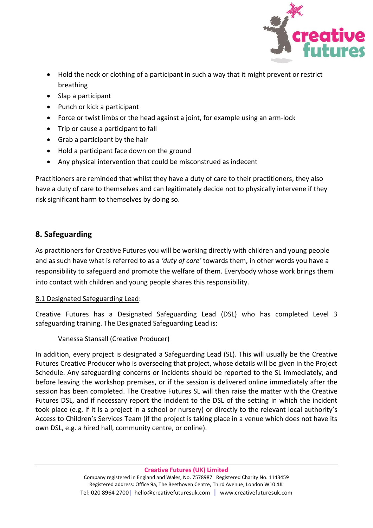

- Hold the neck or clothing of a participant in such a way that it might prevent or restrict breathing
- Slap a participant
- Punch or kick a participant
- Force or twist limbs or the head against a joint, for example using an arm-lock
- Trip or cause a participant to fall
- Grab a participant by the hair
- Hold a participant face down on the ground
- Any physical intervention that could be misconstrued as indecent

Practitioners are reminded that whilst they have a duty of care to their practitioners, they also have a duty of care to themselves and can legitimately decide not to physically intervene if they risk significant harm to themselves by doing so.

# **8. Safeguarding**

As practitioners for Creative Futures you will be working directly with children and young people and as such have what is referred to as a *'duty of care'* towards them, in other words you have a responsibility to safeguard and promote the welfare of them. Everybody whose work brings them into contact with children and young people shares this responsibility.

## 8.1 Designated Safeguarding Lead:

Creative Futures has a Designated Safeguarding Lead (DSL) who has completed Level 3 safeguarding training. The Designated Safeguarding Lead is:

## Vanessa Stansall (Creative Producer)

In addition, every project is designated a Safeguarding Lead (SL). This will usually be the Creative Futures Creative Producer who is overseeing that project, whose details will be given in the Project Schedule. Any safeguarding concerns or incidents should be reported to the SL immediately, and before leaving the workshop premises, or if the session is delivered online immediately after the session has been completed. The Creative Futures SL will then raise the matter with the Creative Futures DSL, and if necessary report the incident to the DSL of the setting in which the incident took place (e.g. if it is a project in a school or nursery) or directly to the relevant local authority's Access to Children's Services Team (if the project is taking place in a venue which does not have its own DSL, e.g. a hired hall, community centre, or online).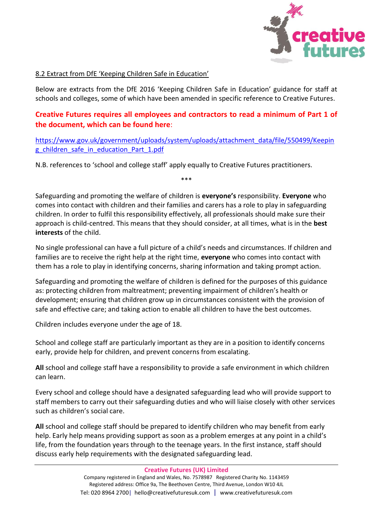

#### 8.2 Extract from DfE 'Keeping Children Safe in Education'

Below are extracts from the DfE 2016 'Keeping Children Safe in Education' guidance for staff at schools and colleges, some of which have been amended in specific reference to Creative Futures.

**Creative Futures requires all employees and contractors to read a minimum of Part 1 of the document, which can be found here**:

[https://www.gov.uk/government/uploads/system/uploads/attachment\\_data/file/550499/Keepin](https://www.gov.uk/government/uploads/system/uploads/attachment_data/file/550499/Keeping_children_safe_in_education_Part_1.pdf) [g\\_children\\_safe\\_in\\_education\\_Part\\_1.pdf](https://www.gov.uk/government/uploads/system/uploads/attachment_data/file/550499/Keeping_children_safe_in_education_Part_1.pdf)

\*\*\*

N.B. references to 'school and college staff' apply equally to Creative Futures practitioners.

Safeguarding and promoting the welfare of children is **everyone's** responsibility. **Everyone** who comes into contact with children and their families and carers has a role to play in safeguarding children. In order to fulfil this responsibility effectively, all professionals should make sure their approach is child-centred. This means that they should consider, at all times, what is in the **best interests** of the child.

No single professional can have a full picture of a child's needs and circumstances. If children and families are to receive the right help at the right time, **everyone** who comes into contact with them has a role to play in identifying concerns, sharing information and taking prompt action.

Safeguarding and promoting the welfare of children is defined for the purposes of this guidance as: protecting children from maltreatment; preventing impairment of children's health or development; ensuring that children grow up in circumstances consistent with the provision of safe and effective care; and taking action to enable all children to have the best outcomes.

Children includes everyone under the age of 18.

School and college staff are particularly important as they are in a position to identify concerns early, provide help for children, and prevent concerns from escalating.

**All** school and college staff have a responsibility to provide a safe environment in which children can learn.

Every school and college should have a designated safeguarding lead who will provide support to staff members to carry out their safeguarding duties and who will liaise closely with other services such as children's social care.

**All** school and college staff should be prepared to identify children who may benefit from early help. Early help means providing support as soon as a problem emerges at any point in a child's life, from the foundation years through to the teenage years. In the first instance, staff should discuss early help requirements with the designated safeguarding lead.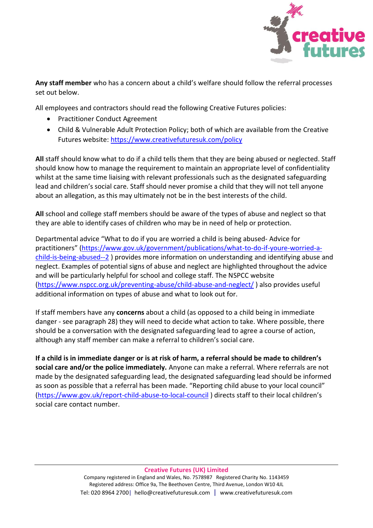

**Any staff member** who has a concern about a child's welfare should follow the referral processes set out below.

All employees and contractors should read the following Creative Futures policies:

- Practitioner Conduct Agreement
- Child & Vulnerable Adult Protection Policy; both of which are available from the Creative Futures website:<https://www.creativefuturesuk.com/policy>

**All** staff should know what to do if a child tells them that they are being abused or neglected. Staff should know how to manage the requirement to maintain an appropriate level of confidentiality whilst at the same time liaising with relevant professionals such as the designated safeguarding lead and children's social care. Staff should never promise a child that they will not tell anyone about an allegation, as this may ultimately not be in the best interests of the child.

**All** school and college staff members should be aware of the types of abuse and neglect so that they are able to identify cases of children who may be in need of help or protection.

Departmental advice "What to do if you are worried a child is being abused- Advice for practitioners" ([https://www.gov.uk/government/publications/what-to-do-if-youre-worried-a](https://www.gov.uk/government/publications/what-to-do-if-youre-worried-a-child-is-being-abused--2)[child-is-being-abused--2](https://www.gov.uk/government/publications/what-to-do-if-youre-worried-a-child-is-being-abused--2) ) provides more information on understanding and identifying abuse and neglect. Examples of potential signs of abuse and neglect are highlighted throughout the advice and will be particularly helpful for school and college staff. The NSPCC website [\(https://www.nspcc.org.uk/preventing-abuse/child-abuse-and-neglect/](https://www.nspcc.org.uk/preventing-abuse/child-abuse-and-neglect/) ) also provides useful additional information on types of abuse and what to look out for.

If staff members have any **concerns** about a child (as opposed to a child being in immediate danger - see paragraph 28) they will need to decide what action to take. Where possible, there should be a conversation with the designated safeguarding lead to agree a course of action, although any staff member can make a referral to children's social care.

**If a child is in immediate danger or is at risk of harm, a referral should be made to children's social care and/or the police immediately.** Anyone can make a referral. Where referrals are not made by the designated safeguarding lead, the designated safeguarding lead should be informed as soon as possible that a referral has been made. "Reporting child abuse to your local council" [\(https://www.gov.uk/report-child-abuse-to-local-council](https://www.gov.uk/report-child-abuse-to-local-council) ) directs staff to their local children's social care contact number.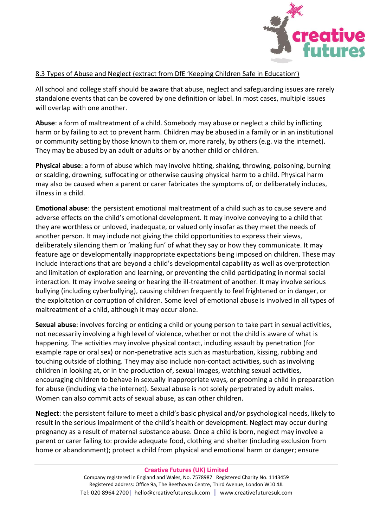

#### 8.3 Types of Abuse and Neglect (extract from DfE 'Keeping Children Safe in Education')

All school and college staff should be aware that abuse, neglect and safeguarding issues are rarely standalone events that can be covered by one definition or label. In most cases, multiple issues will overlap with one another.

**Abuse**: a form of maltreatment of a child. Somebody may abuse or neglect a child by inflicting harm or by failing to act to prevent harm. Children may be abused in a family or in an institutional or community setting by those known to them or, more rarely, by others (e.g. via the internet). They may be abused by an adult or adults or by another child or children.

**Physical abuse**: a form of abuse which may involve hitting, shaking, throwing, poisoning, burning or scalding, drowning, suffocating or otherwise causing physical harm to a child. Physical harm may also be caused when a parent or carer fabricates the symptoms of, or deliberately induces, illness in a child.

**Emotional abuse**: the persistent emotional maltreatment of a child such as to cause severe and adverse effects on the child's emotional development. It may involve conveying to a child that they are worthless or unloved, inadequate, or valued only insofar as they meet the needs of another person. It may include not giving the child opportunities to express their views, deliberately silencing them or 'making fun' of what they say or how they communicate. It may feature age or developmentally inappropriate expectations being imposed on children. These may include interactions that are beyond a child's developmental capability as well as overprotection and limitation of exploration and learning, or preventing the child participating in normal social interaction. It may involve seeing or hearing the ill-treatment of another. It may involve serious bullying (including cyberbullying), causing children frequently to feel frightened or in danger, or the exploitation or corruption of children. Some level of emotional abuse is involved in all types of maltreatment of a child, although it may occur alone.

**Sexual abuse**: involves forcing or enticing a child or young person to take part in sexual activities, not necessarily involving a high level of violence, whether or not the child is aware of what is happening. The activities may involve physical contact, including assault by penetration (for example rape or oral sex) or non-penetrative acts such as masturbation, kissing, rubbing and touching outside of clothing. They may also include non-contact activities, such as involving children in looking at, or in the production of, sexual images, watching sexual activities, encouraging children to behave in sexually inappropriate ways, or grooming a child in preparation for abuse (including via the internet). Sexual abuse is not solely perpetrated by adult males. Women can also commit acts of sexual abuse, as can other children.

**Neglect**: the persistent failure to meet a child's basic physical and/or psychological needs, likely to result in the serious impairment of the child's health or development. Neglect may occur during pregnancy as a result of maternal substance abuse. Once a child is born, neglect may involve a parent or carer failing to: provide adequate food, clothing and shelter (including exclusion from home or abandonment); protect a child from physical and emotional harm or danger; ensure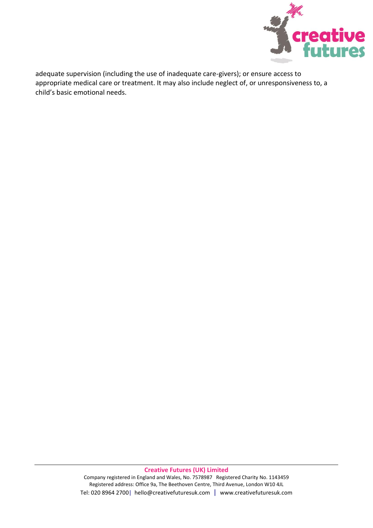

adequate supervision (including the use of inadequate care-givers); or ensure access to appropriate medical care or treatment. It may also include neglect of, or unresponsiveness to, a child's basic emotional needs.

> **Creative Futures (UK) Limited** Company registered in England and Wales, No. 7578987 Registered Charity No. 1143459 Registered address: Office 9a, The Beethoven Centre, Third Avenue, London W10 4JL Tel: 020 8964 2700| hello@creativefuturesuk.com | [www.creativefuturesuk.com](http://www.creativefuturesuk.com/)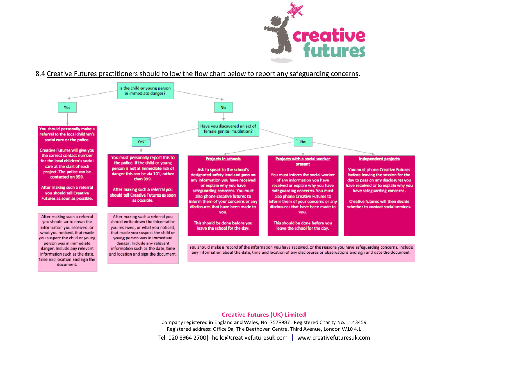

#### 8.4 Creative Futures practitioners should follow the flow chart below to report any safeguarding concerns.



**Creative Futures (UK) Limited**

Company registered in England and Wales, No. 7578987 Registered Charity No. 1143459 Registered address: Office 9a, The Beethoven Centre, Third Avenue, London W10 4JL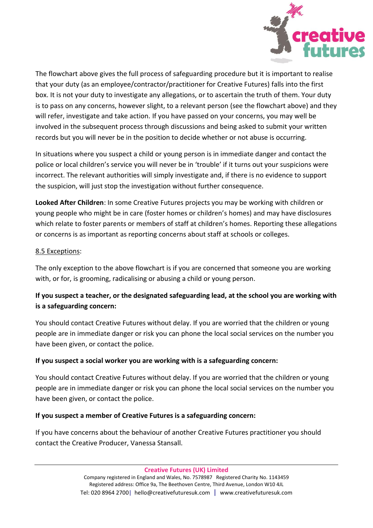

The flowchart above gives the full process of safeguarding procedure but it is important to realise that your duty (as an employee/contractor/practitioner for Creative Futures) falls into the first box. It is not your duty to investigate any allegations, or to ascertain the truth of them. Your duty is to pass on any concerns, however slight, to a relevant person (see the flowchart above) and they will refer, investigate and take action. If you have passed on your concerns, you may well be involved in the subsequent process through discussions and being asked to submit your written records but you will never be in the position to decide whether or not abuse is occurring.

In situations where you suspect a child or young person is in immediate danger and contact the police or local children's service you will never be in 'trouble' if it turns out your suspicions were incorrect. The relevant authorities will simply investigate and, if there is no evidence to support the suspicion, will just stop the investigation without further consequence.

**Looked After Children**: In some Creative Futures projects you may be working with children or young people who might be in care (foster homes or children's homes) and may have disclosures which relate to foster parents or members of staff at children's homes. Reporting these allegations or concerns is as important as reporting concerns about staff at schools or colleges.

#### 8.5 Exceptions:

The only exception to the above flowchart is if you are concerned that someone you are working with, or for, is grooming, radicalising or abusing a child or young person.

# **If you suspect a teacher, or the designated safeguarding lead, at the school you are working with is a safeguarding concern:**

You should contact Creative Futures without delay. If you are worried that the children or young people are in immediate danger or risk you can phone the local social services on the number you have been given, or contact the police.

#### **If you suspect a social worker you are working with is a safeguarding concern:**

You should contact Creative Futures without delay. If you are worried that the children or young people are in immediate danger or risk you can phone the local social services on the number you have been given, or contact the police.

#### **If you suspect a member of Creative Futures is a safeguarding concern:**

If you have concerns about the behaviour of another Creative Futures practitioner you should contact the Creative Producer, Vanessa Stansall.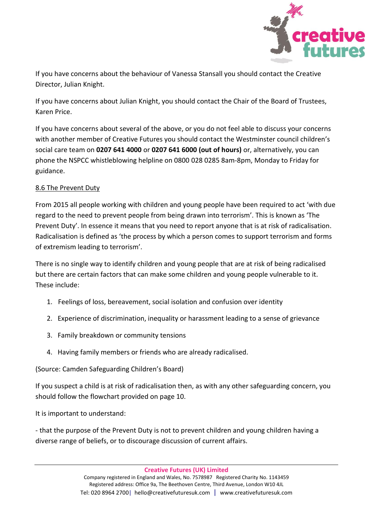

If you have concerns about the behaviour of Vanessa Stansall you should contact the Creative Director, Julian Knight.

If you have concerns about Julian Knight, you should contact the Chair of the Board of Trustees, Karen Price.

If you have concerns about several of the above, or you do not feel able to discuss your concerns with another member of Creative Futures you should contact the Westminster council children's social care team on **0207 641 4000** or **0207 641 6000 (out of hours)** or, alternatively, you can phone the NSPCC whistleblowing helpline on 0800 028 0285 8am-8pm, Monday to Friday for guidance.

#### 8.6 The Prevent Duty

From 2015 all people working with children and young people have been required to act 'with due regard to the need to prevent people from being drawn into terrorism'. This is known as 'The Prevent Duty'. In essence it means that you need to report anyone that is at risk of radicalisation. Radicalisation is defined as 'the process by which a person comes to support terrorism and forms of extremism leading to terrorism'.

There is no single way to identify children and young people that are at risk of being radicalised but there are certain factors that can make some children and young people vulnerable to it. These include:

- 1. Feelings of loss, bereavement, social isolation and confusion over identity
- 2. Experience of discrimination, inequality or harassment leading to a sense of grievance
- 3. Family breakdown or community tensions
- 4. Having family members or friends who are already radicalised.

(Source: Camden Safeguarding Children's Board)

If you suspect a child is at risk of radicalisation then, as with any other safeguarding concern, you should follow the flowchart provided on page 10.

It is important to understand:

- that the purpose of the Prevent Duty is not to prevent children and young children having a diverse range of beliefs, or to discourage discussion of current affairs.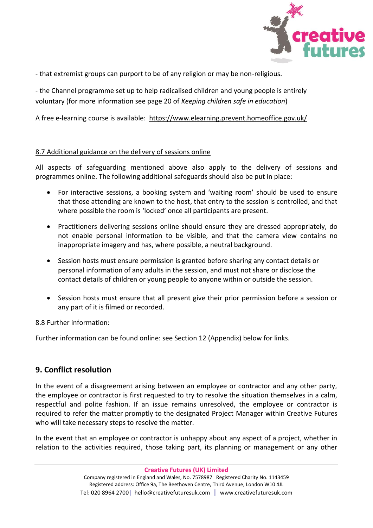

- that extremist groups can purport to be of any religion or may be non-religious.

- the Channel programme set up to help radicalised children and young people is entirely voluntary (for more information see page 20 of *Keeping children safe in education*)

A free e-learning course is available: <https://www.elearning.prevent.homeoffice.gov.uk/>

#### 8.7 Additional guidance on the delivery of sessions online

All aspects of safeguarding mentioned above also apply to the delivery of sessions and programmes online. The following additional safeguards should also be put in place:

- For interactive sessions, a booking system and 'waiting room' should be used to ensure that those attending are known to the host, that entry to the session is controlled, and that where possible the room is 'locked' once all participants are present.
- Practitioners delivering sessions online should ensure they are dressed appropriately, do not enable personal information to be visible, and that the camera view contains no inappropriate imagery and has, where possible, a neutral background.
- Session hosts must ensure permission is granted before sharing any contact details or personal information of any adults in the session, and must not share or disclose the contact details of children or young people to anyone within or outside the session.
- Session hosts must ensure that all present give their prior permission before a session or any part of it is filmed or recorded.

#### 8.8 Further information:

Further information can be found online: see Section 12 (Appendix) below for links.

## **9. Conflict resolution**

In the event of a disagreement arising between an employee or contractor and any other party, the employee or contractor is first requested to try to resolve the situation themselves in a calm, respectful and polite fashion. If an issue remains unresolved, the employee or contractor is required to refer the matter promptly to the designated Project Manager within Creative Futures who will take necessary steps to resolve the matter.

In the event that an employee or contractor is unhappy about any aspect of a project, whether in relation to the activities required, those taking part, its planning or management or any other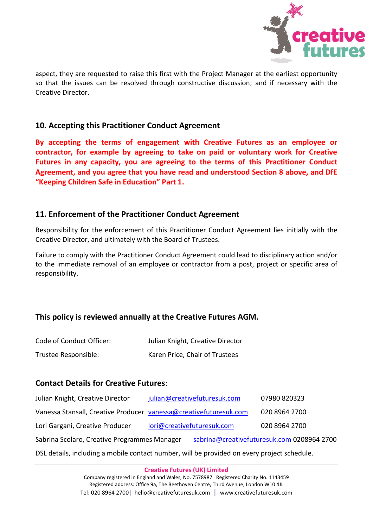

aspect, they are requested to raise this first with the Project Manager at the earliest opportunity so that the issues can be resolved through constructive discussion; and if necessary with the Creative Director.

## **10. Accepting this Practitioner Conduct Agreement**

**By accepting the terms of engagement with Creative Futures as an employee or contractor, for example by agreeing to take on paid or voluntary work for Creative Futures in any capacity, you are agreeing to the terms of this Practitioner Conduct Agreement, and you agree that you have read and understood Section 8 above, and DfE "Keeping Children Safe in Education" Part 1.**

# **11. Enforcement of the Practitioner Conduct Agreement**

Responsibility for the enforcement of this Practitioner Conduct Agreement lies initially with the Creative Director, and ultimately with the Board of Trustees.

Failure to comply with the Practitioner Conduct Agreement could lead to disciplinary action and/or to the immediate removal of an employee or contractor from a post, project or specific area of responsibility.

# **This policy is reviewed annually at the Creative Futures AGM.**

| Code of Conduct Officer: | Julian Knight, Creative Director |
|--------------------------|----------------------------------|
| Trustee Responsible:     | Karen Price, Chair of Trustees   |

# **Contact Details for Creative Futures**:

| Julian Knight, Creative Director                                                            |                            | julian@creativefuturesuk.com | 07980 820323                               |
|---------------------------------------------------------------------------------------------|----------------------------|------------------------------|--------------------------------------------|
| Vanessa Stansall, Creative Producer vanessa@creativefuturesuk.com                           |                            |                              | 020 8964 2700                              |
| Lori Gargani, Creative Producer                                                             | lori@creativefuturesuk.com |                              | 020 8964 2700                              |
| Sabrina Scolaro, Creative Programmes Manager                                                |                            |                              | sabrina@creativefuturesuk.com 0208964 2700 |
| DSL details, including a mobile contact number, will be provided on every project schedule. |                            |                              |                                            |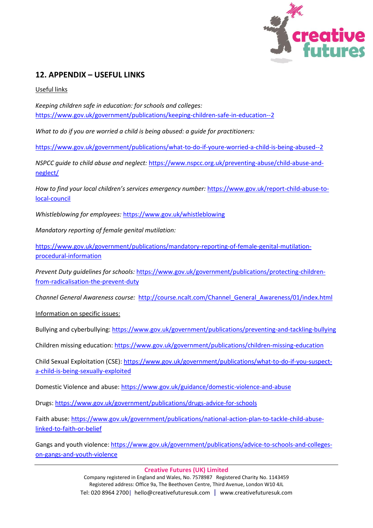

# **12. APPENDIX – USEFUL LINKS**

Useful links

*Keeping children safe in education: for schools and colleges:*  <https://www.gov.uk/government/publications/keeping-children-safe-in-education--2>

*What to do if you are worried a child is being abused: a guide for practitioners:* 

<https://www.gov.uk/government/publications/what-to-do-if-youre-worried-a-child-is-being-abused--2>

*NSPCC guide to child abuse and neglect:* [https://www.nspcc.org.uk/preventing-abuse/child-abuse-and](https://www.nspcc.org.uk/preventing-abuse/child-abuse-and-neglect/)[neglect/](https://www.nspcc.org.uk/preventing-abuse/child-abuse-and-neglect/)

*How to find your local children's services emergency number:* [https://www.gov.uk/report-child-abuse-to](https://www.gov.uk/report-child-abuse-to-local-council)[local-council](https://www.gov.uk/report-child-abuse-to-local-council)

*Whistleblowing for employees:* <https://www.gov.uk/whistleblowing>

*Mandatory reporting of female genital mutilation:* 

[https://www.gov.uk/government/publications/mandatory-reporting-of-female-genital-mutilation](https://www.gov.uk/government/publications/mandatory-reporting-of-female-genital-mutilation-procedural-information)[procedural-information](https://www.gov.uk/government/publications/mandatory-reporting-of-female-genital-mutilation-procedural-information)

*Prevent Duty guidelines for schools:* [https://www.gov.uk/government/publications/protecting-children](https://www.gov.uk/government/publications/protecting-children-from-radicalisation-the-prevent-duty)[from-radicalisation-the-prevent-duty](https://www.gov.uk/government/publications/protecting-children-from-radicalisation-the-prevent-duty)

*Channel General Awareness course:* [http://course.ncalt.com/Channel\\_General\\_Awareness/01/index.html](http://course.ncalt.com/Channel_General_Awareness/01/index.html)

Information on specific issues:

Bullying and cyberbullying:<https://www.gov.uk/government/publications/preventing-and-tackling-bullying>

Children missing education:<https://www.gov.uk/government/publications/children-missing-education>

Child Sexual Exploitation (CSE): [https://www.gov.uk/government/publications/what-to-do-if-you-suspect](https://www.gov.uk/government/publications/what-to-do-if-you-suspect-a-child-is-being-sexually-exploited)[a-child-is-being-sexually-exploited](https://www.gov.uk/government/publications/what-to-do-if-you-suspect-a-child-is-being-sexually-exploited)

Domestic Violence and abuse:<https://www.gov.uk/guidance/domestic-violence-and-abuse>

Drugs:<https://www.gov.uk/government/publications/drugs-advice-for-schools>

Faith abuse[: https://www.gov.uk/government/publications/national-action-plan-to-tackle-child-abuse](https://www.gov.uk/government/publications/national-action-plan-to-tackle-child-abuse-linked-to-faith-or-belief)[linked-to-faith-or-belief](https://www.gov.uk/government/publications/national-action-plan-to-tackle-child-abuse-linked-to-faith-or-belief)

Gangs and youth violence: [https://www.gov.uk/government/publications/advice-to-schools-and-colleges](https://www.gov.uk/government/publications/advice-to-schools-and-colleges-on-gangs-and-youth-violence)[on-gangs-and-youth-violence](https://www.gov.uk/government/publications/advice-to-schools-and-colleges-on-gangs-and-youth-violence)

> **Creative Futures (UK) Limited** Company registered in England and Wales, No. 7578987 Registered Charity No. 1143459 Registered address: Office 9a, The Beethoven Centre, Third Avenue, London W10 4JL Tel: 020 8964 2700| hello@creativefuturesuk.com | [www.creativefuturesuk.com](http://www.creativefuturesuk.com/)